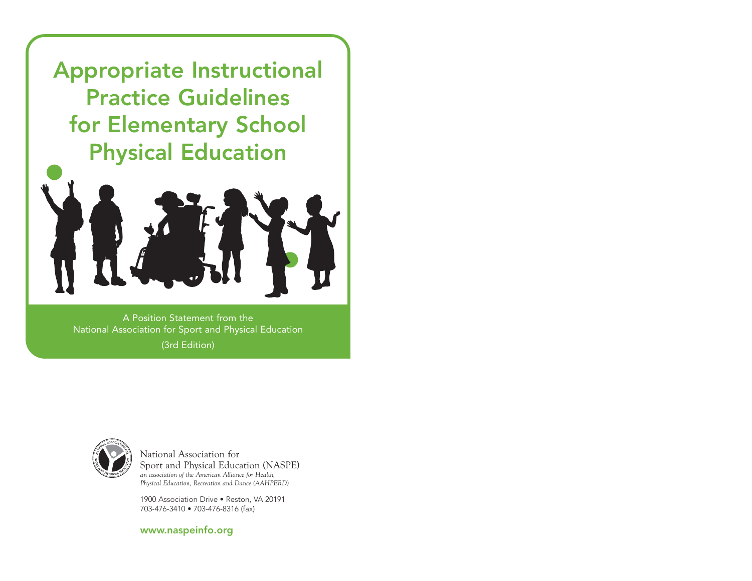Appropriate Instructional Practice Guidelines for Elementary School Physical Education



A Position Statement from the National Association for Sport and Physical Education (3rd Edition)



National Association for Sport and Physical Education (NASPE) *an association of the American Alliance for Health, Physical Education, Recreation and Dance (AAHPERD)* 

1900 Association Drive • Reston, VA 20191 703-476-3410 • 703-476-8316 (fax)

www.naspeinfo.org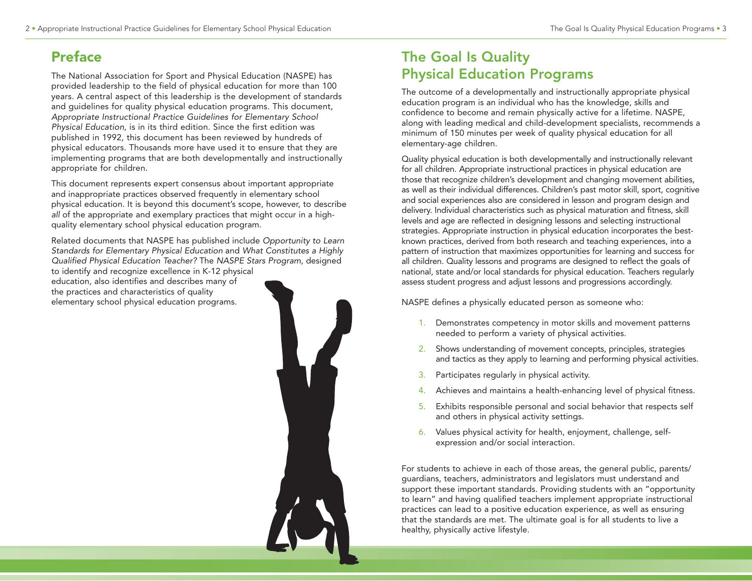# Preface

The National Association for Sport and Physical Education (NASPE) has provided leadership to the field of physical education for more than 100 years. A central aspect of this leadership is the development of standards and guidelines for quality physical education programs. This document, Appropriate Instructional Practice Guidelines for Elementary School Physical Education, is in its third edition. Since the first edition was published in 1992, this document has been reviewed by hundreds of physical educators. Thousands more have used it to ensure that they are implementing programs that are both developmentally and instructionally appropriate for children.

This document represents expert consensus about important appropriate and inappropriate practices observed frequently in elementary school physical education. It is beyond this document's scope, however, to describe all of the appropriate and exemplary practices that might occur in a highquality elementary school physical education program.

Related documents that NASPE has published include Opportunity to Learn Standards for Elementary Physical Education and What Constitutes a Highly Qualified Physical Education Teacher? The NASPE Stars Program, designed to identify and recognize excellence in K-12 physical

education, also identifies and describes many of the practices and characteristics of quality elementary school physical education programs.



# The Goal Is Quality Physical Education Programs

The outcome of a developmentally and instructionally appropriate physical education program is an individual who has the knowledge, skills and confidence to become and remain physically active for a lifetime. NASPE, along with leading medical and child-development specialists, recommends a minimum of 150 minutes per week of quality physical education for all elementary-age children.

Quality physical education is both developmentally and instructionally relevant for all children. Appropriate instructional practices in physical education are those that recognize children's development and changing movement abilities, as well as their individual differences. Children's past motor skill, sport, cognitive and social experiences also are considered in lesson and program design and delivery. Individual characteristics such as physical maturation and fitness, skill levels and age are reflected in designing lessons and selecting instructional strategies. Appropriate instruction in physical education incorporates the bestknown practices, derived from both research and teaching experiences, into a pattern of instruction that maximizes opportunities for learning and success for all children. Quality lessons and programs are designed to reflect the goals of national, state and/or local standards for physical education. Teachers regularly assess student progress and adjust lessons and progressions accordingly.

NASPE defines a physically educated person as someone who:

- 1. Demonstrates competency in motor skills and movement patterns needed to perform a variety of physical activities.
- 2. Shows understanding of movement concepts, principles, strategies and tactics as they apply to learning and performing physical activities.
- 3. Participates regularly in physical activity.
- 4. Achieves and maintains a health-enhancing level of physical fitness.
- 5. Exhibits responsible personal and social behavior that respects self and others in physical activity settings.
- 6. Values physical activity for health, enjoyment, challenge, selfexpression and/or social interaction.

For students to achieve in each of those areas, the general public, parents/ guardians, teachers, administrators and legislators must understand and support these important standards. Providing students with an "opportunity to learn" and having qualified teachers implement appropriate instructional practices can lead to a positive education experience, as well as ensuring that the standards are met. The ultimate goal is for all students to live a healthy, physically active lifestyle.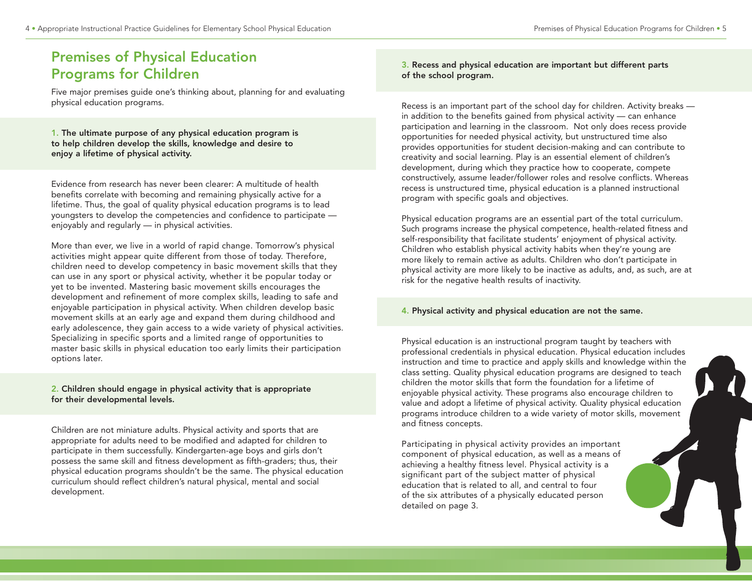# Premises of Physical Education Programs for Children

Five major premises guide one's thinking about, planning for and evaluating physical education programs.

1. The ultimate purpose of any physical education program is to help children develop the skills, knowledge and desire to enjoy a lifetime of physical activity.

Evidence from research has never been clearer: A multitude of health benefits correlate with becoming and remaining physically active for a lifetime. Thus, the goal of quality physical education programs is to lead youngsters to develop the competencies and confidence to participate enjoyably and regularly — in physical activities.

More than ever, we live in a world of rapid change. Tomorrow's physical activities might appear quite different from those of today. Therefore, children need to develop competency in basic movement skills that they can use in any sport or physical activity, whether it be popular today or yet to be invented. Mastering basic movement skills encourages the development and refinement of more complex skills, leading to safe and enjoyable participation in physical activity. When children develop basic movement skills at an early age and expand them during childhood and early adolescence, they gain access to a wide variety of physical activities. Specializing in specific sports and a limited range of opportunities to master basic skills in physical education too early limits their participation options later.

#### 2. Children should engage in physical activity that is appropriate for their developmental levels.

Children are not miniature adults. Physical activity and sports that are appropriate for adults need to be modified and adapted for children to participate in them successfully. Kindergarten-age boys and girls don't possess the same skill and fitness development as fifth-graders; thus, their physical education programs shouldn't be the same. The physical education curriculum should reflect children's natural physical, mental and social development.

#### 3. Recess and physical education are important but different parts of the school program.

Recess is an important part of the school day for children. Activity breaks in addition to the benefits gained from physical activity — can enhance participation and learning in the classroom. Not only does recess provide opportunities for needed physical activity, but unstructured time also provides opportunities for student decision-making and can contribute to creativity and social learning. Play is an essential element of children's development, during which they practice how to cooperate, compete constructively, assume leader/follower roles and resolve conflicts. Whereas recess is unstructured time, physical education is a planned instructional program with specific goals and objectives.

Physical education programs are an essential part of the total curriculum. Such programs increase the physical competence, health-related fitness and self-responsibility that facilitate students' enjoyment of physical activity. Children who establish physical activity habits when they're young are more likely to remain active as adults. Children who don't participate in physical activity are more likely to be inactive as adults, and, as such, are at risk for the negative health results of inactivity.

#### 4. Physical activity and physical education are not the same.

Physical education is an instructional program taught by teachers with professional credentials in physical education. Physical education includes instruction and time to practice and apply skills and knowledge within the class setting. Quality physical education programs are designed to teach children the motor skills that form the foundation for a lifetime of enjoyable physical activity. These programs also encourage children to value and adopt a lifetime of physical activity. Quality physical education programs introduce children to a wide variety of motor skills, movement and fitness concepts.

Participating in physical activity provides an important component of physical education, as well as a means of achieving a healthy fitness level. Physical activity is a significant part of the subject matter of physical education that is related to all, and central to four of the six attributes of a physically educated person detailed on page 3.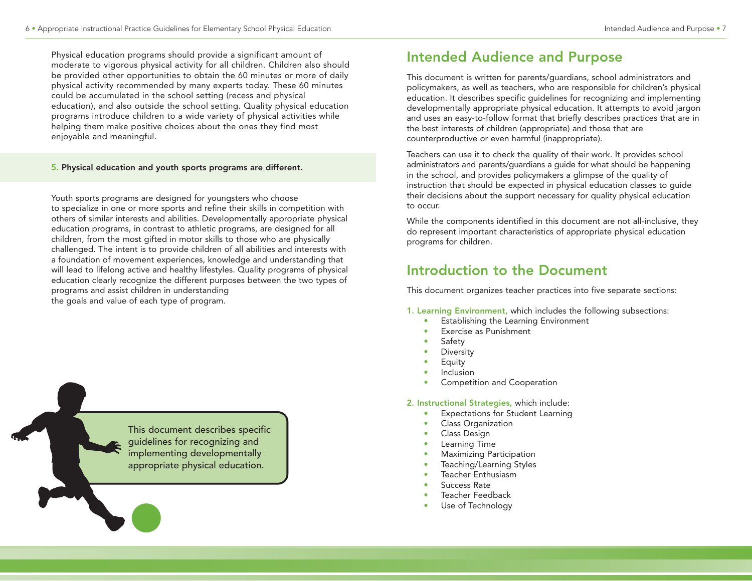Physical education programs should provide a significant amount of moderate to vigorous physical activity for all children. Children also should be provided other opportunities to obtain the 60 minutes or more of daily physical activity recommended by many experts today. These 60 minutes could be accumulated in the school setting (recess and physical education), and also outside the school setting. Quality physical education programs introduce children to a wide variety of physical activities while helping them make positive choices about the ones they find most enjoyable and meaningful.

#### 5. Physical education and youth sports programs are different.

Youth sports programs are designed for youngsters who choose to specialize in one or more sports and refine their skills in competition with others of similar interests and abilities. Developmentally appropriate physical education programs, in contrast to athletic programs, are designed for all children, from the most gifted in motor skills to those who are physically challenged. The intent is to provide children of all abilities and interests with a foundation of movement experiences, knowledge and understanding that will lead to lifelong active and healthy lifestyles. Quality programs of physical education clearly recognize the different purposes between the two types of programs and assist children in understanding the goals and value of each type of program.

> This document describes specific guidelines for recognizing and implementing developmentally appropriate physical education.

# Intended Audience and Purpose

This document is written for parents/guardians, school administrators and policymakers, as well as teachers, who are responsible for children's physical education. It describes specific guidelines for recognizing and implementing developmentally appropriate physical education. It attempts to avoid jargon and uses an easy-to-follow format that briefly describes practices that are in the best interests of children (appropriate) and those that are counterproductive or even harmful (inappropriate).

Teachers can use it to check the quality of their work. It provides school administrators and parents/guardians a guide for what should be happening in the school, and provides policymakers a glimpse of the quality of instruction that should be expected in physical education classes to guide their decisions about the support necessary for quality physical education to occur.

While the components identified in this document are not all-inclusive, they do represent important characteristics of appropriate physical education programs for children.

# Introduction to the Document

This document organizes teacher practices into five separate sections:

- 1. Learning Environment, which includes the following subsections:
	- Establishing the Learning Environment
	- Exercise as Punishment
	- **Safety**
	- **Diversity**
	- **Equity**
	- **Inclusion**
	- Competition and Cooperation

#### 2. Instructional Strategies, which include:

- Expectations for Student Learning
- Class Organization
- Class Design
- Learning Time
- Maximizing Participation
- Teaching/Learning Styles
- Teacher Enthusiasm
- Success Rate
- Teacher Feedback
- Use of Technology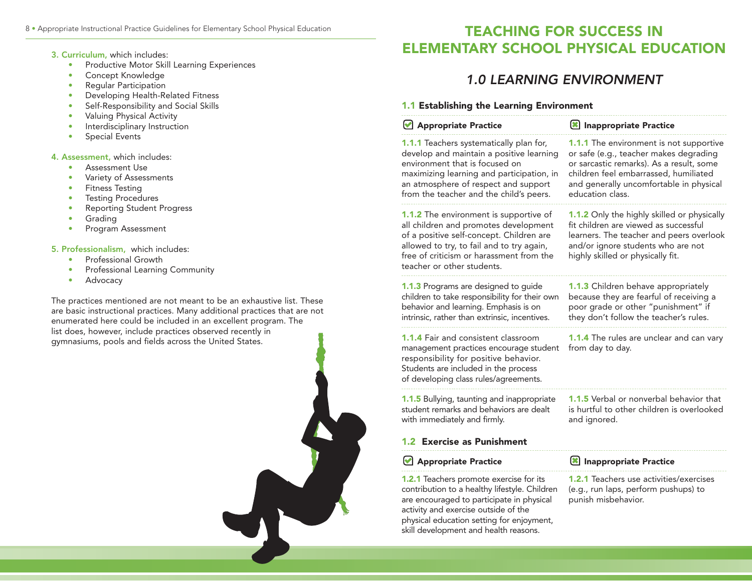#### 3. Curriculum, which includes:

- Productive Motor Skill Learning Experiences
- Concept Knowledge
- Regular Participation
- Developing Health-Related Fitness
- Self-Responsibility and Social Skills
- Valuing Physical Activity
- Interdisciplinary Instruction
- Special Events

#### 4. Assessment, which includes:

- Assessment Use
- Variety of Assessments
- Fitness Testing
- Testing Procedures
- Reporting Student Progress
- Grading
- Program Assessment

#### 5. Professionalism, which includes:

- Professional Growth
- Professional Learning Community
- Advocacy

The practices mentioned are not meant to be an exhaustive list. These are basic instructional practices. Many additional practices that are not enumerated here could be included in an excellent program. The list does, however, include practices observed recently in gymnasiums, pools and fields across the United States.

# 8 • Appropriate Instructional Practice Guidelines for Elementary School Physical Education TEACHING FOR SUCCESS IN ELEMENTARY SCHOOL PHYSICAL EDUCATION

# 1.0 LEARNING ENVIRONMENT

#### 1.1 Establishing the Learning Environment

activity and exercise outside of the physical education setting for enjoyment, skill development and health reasons.

| Appropriate Practice                                                                                                                                                                                                                                  | <b>X</b> Inappropriate Practice                                                                                                                                                                                                       |
|-------------------------------------------------------------------------------------------------------------------------------------------------------------------------------------------------------------------------------------------------------|---------------------------------------------------------------------------------------------------------------------------------------------------------------------------------------------------------------------------------------|
| 1.1.1 Teachers systematically plan for,<br>develop and maintain a positive learning<br>environment that is focused on<br>maximizing learning and participation, in<br>an atmosphere of respect and support<br>from the teacher and the child's peers. | 1.1.1 The environment is not supportive<br>or safe (e.g., teacher makes degrading<br>or sarcastic remarks). As a result, some<br>children feel embarrassed, humiliated<br>and generally uncomfortable in physical<br>education class. |
| 1.1.2 The environment is supportive of<br>all children and promotes development<br>of a positive self-concept. Children are<br>allowed to try, to fail and to try again,<br>free of criticism or harassment from the<br>teacher or other students.    | 1.1.2 Only the highly skilled or physically<br>fit children are viewed as successful<br>learners. The teacher and peers overlook<br>and/or ignore students who are not<br>highly skilled or physically fit.                           |
| 1.1.3 Programs are designed to guide<br>children to take responsibility for their own<br>behavior and learning. Emphasis is on<br>intrinsic, rather than extrinsic, incentives.                                                                       | 1.1.3 Children behave appropriately<br>because they are fearful of receiving a<br>poor grade or other "punishment" if<br>they don't follow the teacher's rules.                                                                       |
| <b>1.1.4 Fair and consistent classroom</b><br>management practices encourage student<br>responsibility for positive behavior.<br>Students are included in the process<br>of developing class rules/agreements.                                        | <b>1.1.4</b> The rules are unclear and can vary<br>from day to day.                                                                                                                                                                   |
| 1.1.5 Bullying, taunting and inappropriate<br>student remarks and behaviors are dealt<br>with immediately and firmly.                                                                                                                                 | 1.1.5 Verbal or nonverbal behavior that<br>is hurtful to other children is overlooked<br>and ignored.                                                                                                                                 |
| 1.2 Exercise as Punishment                                                                                                                                                                                                                            |                                                                                                                                                                                                                                       |
| Appropriate Practice                                                                                                                                                                                                                                  | Inappropriate Practice                                                                                                                                                                                                                |
| <b>1.2.1</b> Teachers promote exercise for its<br>contribution to a healthy lifestyle. Children<br>are encouraged to participate in physical                                                                                                          | 1.2.1 Teachers use activities/exercises<br>(e.g., run laps, perform pushups) to<br>punish misbehavior.                                                                                                                                |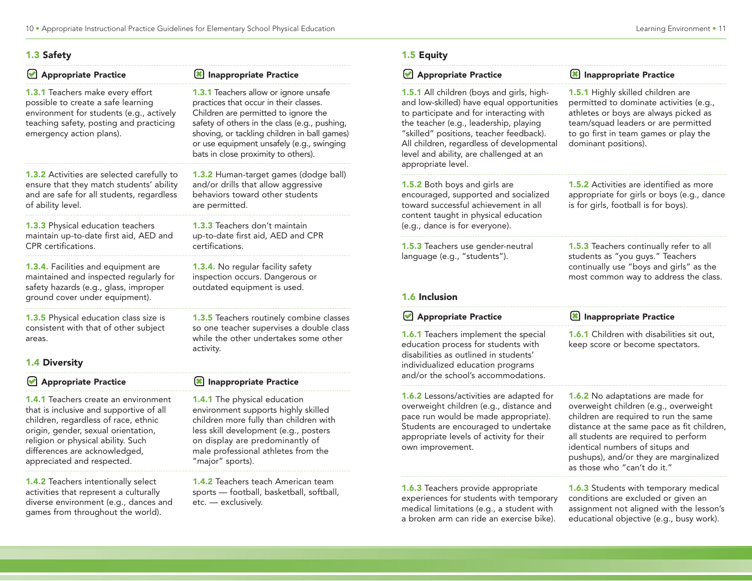### 1.3 Safety

| Appropriate Practice                                                                                                                                                                      | Inappropriate Practice                                                                                                                                                                                                                                                                                       |
|-------------------------------------------------------------------------------------------------------------------------------------------------------------------------------------------|--------------------------------------------------------------------------------------------------------------------------------------------------------------------------------------------------------------------------------------------------------------------------------------------------------------|
| 1.3.1 Teachers make every effort<br>possible to create a safe learning<br>environment for students (e.g., actively<br>teaching safety, posting and practicing<br>emergency action plans). | 1.3.1 Teachers allow or ignore unsafe<br>practices that occur in their classes.<br>Children are permitted to ignore the<br>safety of others in the class (e.g., pushing,<br>shoving, or tackling children in ball games)<br>or use equipment unsafely (e.g., swinging<br>bats in close proximity to others). |
| 1.3.2 Activities are selected carefully to<br>ensure that they match students' ability<br>and are safe for all students, regardless<br>of ability level.                                  | 1.3.2 Human-target games (dodge ball)<br>and/or drills that allow aggressive<br>behaviors toward other students<br>are permitted.                                                                                                                                                                            |
| 1.3.3 Physical education teachers<br>maintain up-to-date first aid, AED and<br>CPR certifications.                                                                                        | <b>1.3.3</b> Teachers don't maintain<br>up-to-date first aid, AED and CPR<br>certifications.                                                                                                                                                                                                                 |
| 1.3.4. Facilities and equipment are<br>maintained and inspected regularly for<br>safety hazards (e.g., glass, improper<br>ground cover under equipment).                                  | 1.3.4. No regular facility safety<br>inspection occurs. Dangerous or<br>outdated equipment is used.                                                                                                                                                                                                          |
| 1.3.5 Physical education class size is<br>consistent with that of other subject<br>areas.                                                                                                 | 1.3.5 Teachers routinely combine classes<br>so one teacher supervises a double class<br>while the other undertakes some other<br>activity.                                                                                                                                                                   |
| <b>1.4 Diversity</b>                                                                                                                                                                      |                                                                                                                                                                                                                                                                                                              |
| Appropriate Practice                                                                                                                                                                      | Inappropriate Practice                                                                                                                                                                                                                                                                                       |
| <b>1.4.1</b> Teachers create an environment<br>that is inclusive and supportive of all<br>children, regardless of race, ethnic                                                            | <b>1.4.1</b> The physical education<br>environment supports highly skilled<br>children more fully than children with                                                                                                                                                                                         |

children, regardless of race, ethnic origin, gender, sexual orientation, religion or physical ability. Such differences are acknowledged, appreciated and respected.

1.4.2 Teachers intentionally select activities that represent a culturally diverse environment (e.g., dances and games from throughout the world).

children more fully than children with less skill development (e.g., posters on display are predominantly of male professional athletes from the "major" sports).

1.4.2 Teachers teach American team sports — football, basketball, softball, etc. — exclusively.

### 1.5 Equity

| Appropriate Practice                                                                                                                                                                                                                                                                                                                 | Inappropriate Practice                                                                                                                                                                                                                                                                                                |
|--------------------------------------------------------------------------------------------------------------------------------------------------------------------------------------------------------------------------------------------------------------------------------------------------------------------------------------|-----------------------------------------------------------------------------------------------------------------------------------------------------------------------------------------------------------------------------------------------------------------------------------------------------------------------|
| 1.5.1 All children (boys and girls, high-<br>and low-skilled) have equal opportunities<br>to participate and for interacting with<br>the teacher (e.g., leadership, playing<br>"skilled" positions, teacher feedback).<br>All children, regardless of developmental<br>level and ability, are challenged at an<br>appropriate level. | 1.5.1 Highly skilled children are<br>permitted to dominate activities (e.g.,<br>athletes or boys are always picked as<br>team/squad leaders or are permitted<br>to go first in team games or play the<br>dominant positions).                                                                                         |
| 1.5.2 Both boys and girls are<br>encouraged, supported and socialized<br>toward successful achievement in all<br>content taught in physical education<br>(e.g., dance is for everyone).                                                                                                                                              | <b>1.5.2</b> Activities are identified as more<br>appropriate for girls or boys (e.g., dance<br>is for girls, football is for boys).                                                                                                                                                                                  |
| 1.5.3 Teachers use gender-neutral<br>language (e.g., "students").<br>1.6 Inclusion                                                                                                                                                                                                                                                   | 1.5.3 Teachers continually refer to all<br>students as "you guys." Teachers<br>continually use "boys and girls" as the<br>most common way to address the class.                                                                                                                                                       |
| Appropriate Practice                                                                                                                                                                                                                                                                                                                 | <b>8</b> Inappropriate Practice                                                                                                                                                                                                                                                                                       |
| 1.6.1 Teachers implement the special<br>education process for students with<br>disabilities as outlined in students'<br>individualized education programs<br>and/or the school's accommodations.                                                                                                                                     | 1.6.1 Children with disabilities sit out,<br>keep score or become spectators.                                                                                                                                                                                                                                         |
| 1.6.2 Lessons/activities are adapted for<br>overweight children (e.g., distance and<br>pace run would be made appropriate).<br>Students are encouraged to undertake<br>appropriate levels of activity for their<br>own improvement.                                                                                                  | 1.6.2 No adaptations are made for<br>overweight children (e.g., overweight<br>children are required to run the same<br>distance at the same pace as fit children,<br>all students are required to perform<br>identical numbers of situps and<br>pushups), and/or they are marginalized<br>as those who "can't do it." |
| 1.6.3 Teachers provide appropriate<br>experiences for students with temporary                                                                                                                                                                                                                                                        | 1.6.3 Students with temporary medical<br>conditions are excluded or given an                                                                                                                                                                                                                                          |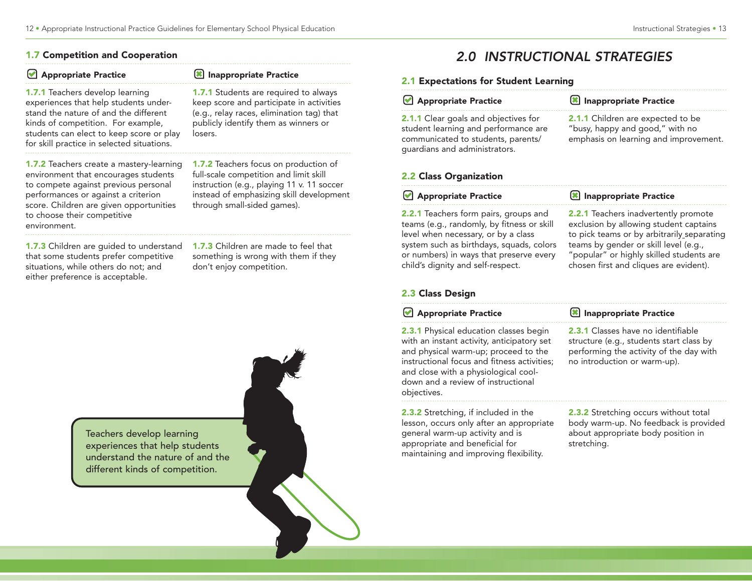#### 1.7 Competition and Cooperation

| Appropriate Practice                                                                                                                                                                                                                                             | Inappropriate Practice                                                                                                                                                                                          |
|------------------------------------------------------------------------------------------------------------------------------------------------------------------------------------------------------------------------------------------------------------------|-----------------------------------------------------------------------------------------------------------------------------------------------------------------------------------------------------------------|
| <b>1.7.1</b> Teachers develop learning<br>experiences that help students under-<br>stand the nature of and the different<br>kinds of competition. For example,<br>students can elect to keep score or play<br>for skill practice in selected situations.         | <b>1.7.1</b> Students are required to always<br>keep score and participate in activities<br>(e.g., relay races, elimination tag) that<br>publicly identify them as winners or<br>losers.                        |
| <b>1.7.2</b> Teachers create a mastery-learning<br>environment that encourages students<br>to compete against previous personal<br>performances or against a criterion<br>score. Children are given opportunities<br>to choose their competitive<br>environment. | <b>1.7.2</b> Teachers focus on production of<br>full-scale competition and limit skill<br>instruction (e.g., playing 11 v. 11 soccer<br>instead of emphasizing skill development<br>through small-sided games). |

1.7.3 Children are guided to understand that some students prefer competitive situations, while others do not; and either preference is acceptable.

1.7.3 Children are made to feel that something is wrong with them if they don't enjoy competition.



# 2.0 INSTRUCTIONAL STRATEGIES

## 2.1 Expectations for Student Learning

| Z. LADECLATIONS TOP STUDENT LEAFNING                                                                                                                                                 |                                                                                                                                     |
|--------------------------------------------------------------------------------------------------------------------------------------------------------------------------------------|-------------------------------------------------------------------------------------------------------------------------------------|
| Appropriate Practice                                                                                                                                                                 | Inappropriate Practice                                                                                                              |
| <b>2.1.1</b> Clear goals and objectives for<br>student learning and performance are<br>communicated to students, parents/<br>guardians and administrators.<br>2.2 Class Organization | 2.1.1 Children are expected to be<br>"busy, happy and good," with no<br>emphasis on learning and improvement.                       |
| Appropriate Practice                                                                                                                                                                 | Inappropriate Practice                                                                                                              |
| 2.2.1 Teachers form pairs, groups and<br>teams (e.g., randomly, by fitness or skill<br>level when necessary, or by a class                                                           | <b>2.2.1</b> Teachers inadvertently promote<br>exclusion by allowing student captains<br>to pick teams or by arbitrarily separating |

### 2.3 Class Design

#### **Appropriate Practice**

child's dignity and self-respect.

2.3.1 Physical education classes begin with an instant activity, anticipatory set and physical warm-up; proceed to the instructional focus and fitness activities; and close with a physiological cooldown and a review of instructional objectives.

2.3.2 Stretching, if included in the lesson, occurs only after an appropriate general warm-up activity and is appropriate and beneficial for maintaining and improving flexibility.

2.3.2 Stretching occurs without total body warm-up. No feedback is provided about appropriate body position in

chosen first and cliques are evident).

Inappropriate Practice

no introduction or warm-up).

stretching.

2.3.1 Classes have no identifiable structure (e.g., students start class by performing the activity of the day with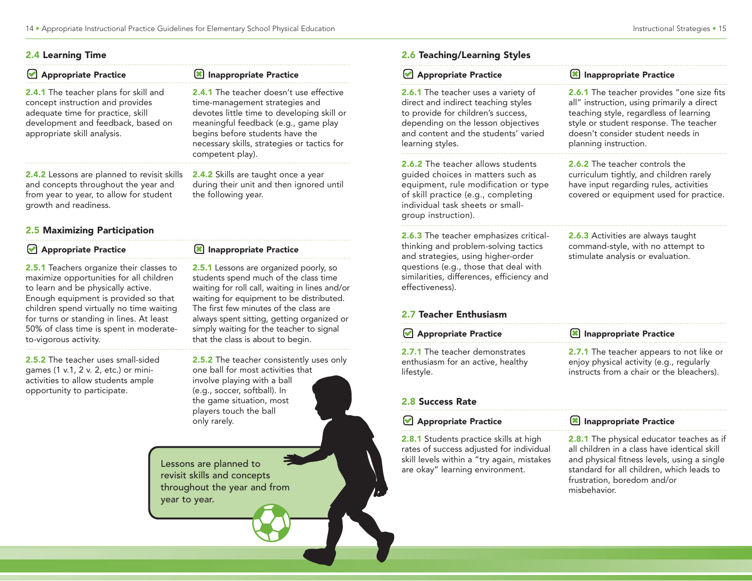| Appropriate Practice                                                                                                                                                                       | Inappropriate Practice                                                                                                                                                                                                                                                       |
|--------------------------------------------------------------------------------------------------------------------------------------------------------------------------------------------|------------------------------------------------------------------------------------------------------------------------------------------------------------------------------------------------------------------------------------------------------------------------------|
| <b>2.4.1</b> The teacher plans for skill and<br>concept instruction and provides<br>adequate time for practice, skill<br>development and feedback, based on<br>appropriate skill analysis. | <b>2.4.1</b> The teacher doesn't use effective<br>time-management strategies and<br>devotes little time to developing skill or<br>meaningful feedback (e.g., game play<br>begins before students have the<br>necessary skills, strategies or tactics for<br>competent play). |
| <b>2.4.2</b> Lessons are planned to revisit skills<br>and concepts throughout the year and<br>from year to year, to allow for student<br>growth and readiness.                             | 2.4.2 Skills are taught once a year<br>during their unit and then ignored until<br>the following year.                                                                                                                                                                       |

### 2.5 Maximizing Participation

| Appropriate Practice                            | <b>X</b> Inappropriate Practice                |
|-------------------------------------------------|------------------------------------------------|
| <b>2.5.1</b> Teachers organize their classes to | <b>2.5.1</b> Lessons are organized poorly, so  |
| maximize opportunities for all children         | students spend much of the class time          |
| to learn and be physically active.              | waiting for roll call, waiting in lines and/or |
| Enough equipment is provided so that            | waiting for equipment to be distributed.       |
| children spend virtually no time waiting        | The first few minutes of the class are         |
| for turns or standing in lines. At least        | always spent sitting, getting organized or     |
| 50% of class time is spent in moderate-         | simply waiting for the teacher to signal       |
| to-vigorous activity.                           | that the class is about to begin.              |

2.5.2 The teacher uses small-sided games (1 v.1, 2 v. 2, etc.) or miniactivities to allow students ample opportunity to participate.

2.5.2 The teacher consistently uses only one ball for most activities that involve playing with a ball (e.g., soccer, softball). In the game situation, most players touch the ball only rarely.

 $\boldsymbol{l}$ 

Lessons are planned to revisit skills and concepts throughout the year and from year to year.

## 2.6 Teaching/Learning Styles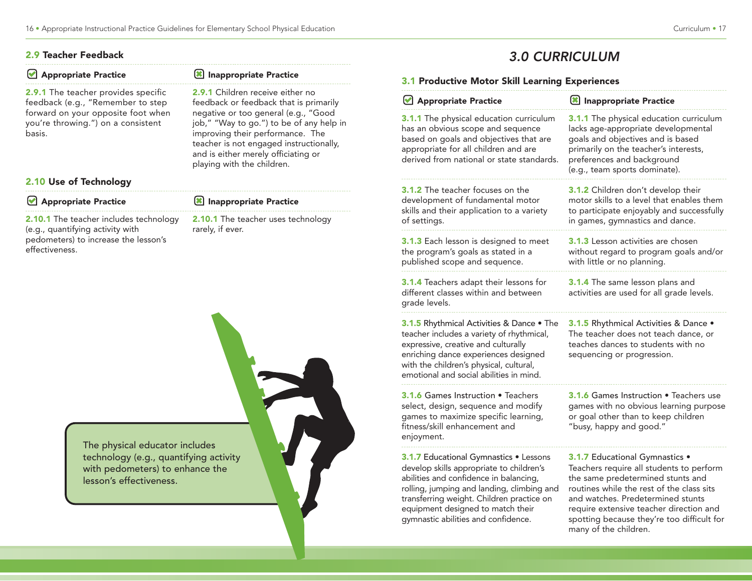### 2.9 Teacher Feedback

pedometers) to increase the lesson's

effectiveness.

| Appropriate Practice                                                               | Inappropriate Practice                                                                                                                                                                                                               | 3.1 Pr                                              |  |
|------------------------------------------------------------------------------------|--------------------------------------------------------------------------------------------------------------------------------------------------------------------------------------------------------------------------------------|-----------------------------------------------------|--|
| <b>2.9.1</b> The teacher provides specific<br>feedback (e.g., "Remember to step    | 2.9.1 Children receive either no<br>feedback or feedback that is primarily                                                                                                                                                           | $\bigcup$ Ap                                        |  |
| forward on your opposite foot when<br>you're throwing.") on a consistent<br>basis. | negative or too general (e.g., "Good<br>job," "Way to go.") to be of any help in<br>improving their performance. The<br>teacher is not engaged instructionally,<br>and is either merely officiating or<br>playing with the children. | $3.1.1$ T<br>has an<br>based o<br>approp<br>derived |  |
| 2.10 Use of Technology                                                             |                                                                                                                                                                                                                                      |                                                     |  |
| Appropriate Practice                                                               | Inappropriate Practice                                                                                                                                                                                                               | $3.1.2$ T<br>develor                                |  |
| <b>2.10.1</b> The teacher includes technology<br>(e.g., quantifying activity with  | <b>2.10.1</b> The teacher uses technology<br>rarely, if ever.                                                                                                                                                                        | skills ar<br>of setti                               |  |

3.0 CURRICULUM

### roductive Motor Skill Learning Experiences

| Appropriate Practice                                                                                                                                                                                                                                                                                | Inappropriate Practice                                                                                                                                                                                                                                                                                              |
|-----------------------------------------------------------------------------------------------------------------------------------------------------------------------------------------------------------------------------------------------------------------------------------------------------|---------------------------------------------------------------------------------------------------------------------------------------------------------------------------------------------------------------------------------------------------------------------------------------------------------------------|
| 3.1.1 The physical education curriculum<br>has an obvious scope and sequence<br>based on goals and objectives that are<br>appropriate for all children and are<br>derived from national or state standards.                                                                                         | 3.1.1 The physical education curriculum<br>lacks age-appropriate developmental<br>goals and objectives and is based<br>primarily on the teacher's interests,<br>preferences and background<br>(e.g., team sports dominate).                                                                                         |
| <b>3.1.2</b> The teacher focuses on the<br>development of fundamental motor<br>skills and their application to a variety<br>of settings.                                                                                                                                                            | 3.1.2 Children don't develop their<br>motor skills to a level that enables them<br>to participate enjoyably and successfully<br>in games, gymnastics and dance.                                                                                                                                                     |
| 3.1.3 Each lesson is designed to meet<br>the program's goals as stated in a<br>published scope and sequence.                                                                                                                                                                                        | <b>3.1.3</b> Lesson activities are chosen<br>without regard to program goals and/or<br>with little or no planning.                                                                                                                                                                                                  |
| 3.1.4 Teachers adapt their lessons for<br>different classes within and between<br>grade levels.                                                                                                                                                                                                     | 3.1.4 The same lesson plans and<br>activities are used for all grade levels.                                                                                                                                                                                                                                        |
| 3.1.5 Rhythmical Activities & Dance . The<br>teacher includes a variety of rhythmical,<br>expressive, creative and culturally<br>enriching dance experiences designed<br>with the children's physical, cultural,<br>emotional and social abilities in mind.                                         | 3.1.5 Rhythmical Activities & Dance .<br>The teacher does not teach dance, or<br>teaches dances to students with no<br>sequencing or progression.                                                                                                                                                                   |
| <b>3.1.6 Games Instruction • Teachers</b><br>select, design, sequence and modify<br>games to maximize specific learning,<br>fitness/skill enhancement and<br>enjoyment.                                                                                                                             | <b>3.1.6 Games Instruction • Teachers use</b><br>games with no obvious learning purpose<br>or goal other than to keep children<br>"busy, happy and good."                                                                                                                                                           |
| 3.1.7 Educational Gymnastics . Lessons<br>develop skills appropriate to children's<br>abilities and confidence in balancing,<br>rolling, jumping and landing, climbing and<br>transferring weight. Children practice on<br>equipment designed to match their<br>gymnastic abilities and confidence. | 3.1.7 Educational Gymnastics .<br>Teachers require all students to perform<br>the same predetermined stunts and<br>routines while the rest of the class sits<br>and watches. Predetermined stunts<br>require extensive teacher direction and<br>spotting because they're too difficult for<br>many of the children. |

The physical educator includes technology (e.g., quantifying activity with pedometers) to enhance the lesson's effectiveness.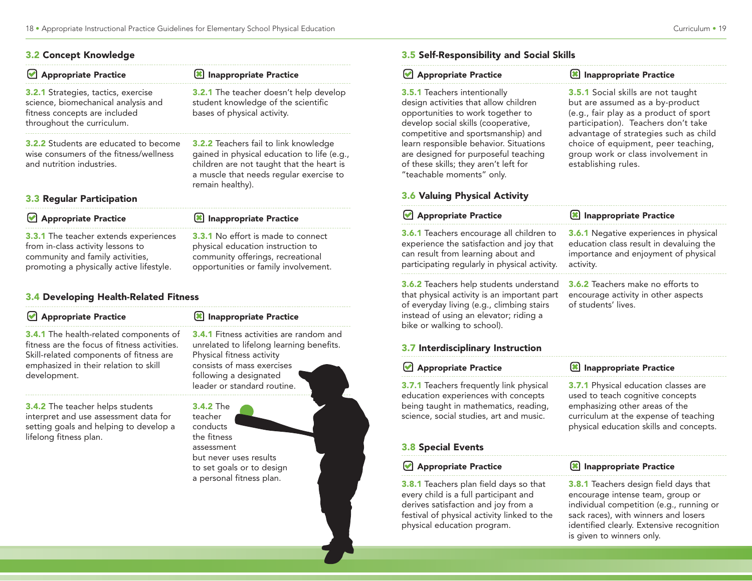#### 3.2 Concept Knowledge

**Appropriate Practice** 

| Inappropriate Practice                                                                                                                                                                                  |
|---------------------------------------------------------------------------------------------------------------------------------------------------------------------------------------------------------|
| <b>3.2.1</b> The teacher doesn't help develop<br>student knowledge of the scientific<br>bases of physical activity.                                                                                     |
| <b>3.2.2</b> Teachers fail to link knowledge<br>gained in physical education to life (e.g.,<br>children are not taught that the heart is<br>a muscle that needs regular exercise to<br>remain healthy). |
|                                                                                                                                                                                                         |
|                                                                                                                                                                                                         |

**8** Inappropriate Practice

3.3.1 The teacher extends experiences from in-class activity lessons to community and family activities, promoting a physically active lifestyle. 3.3.1 No effort is made to connect physical education instruction to community offerings, recreational opportunities or family involvement.

# 3.4 Developing Health-Related Fitness

| Appropriate Practice                                                                                                                                                                              | Inappropriate Practice                                                                                                                                                                                         |
|---------------------------------------------------------------------------------------------------------------------------------------------------------------------------------------------------|----------------------------------------------------------------------------------------------------------------------------------------------------------------------------------------------------------------|
| <b>3.4.1</b> The health-related components of<br>fitness are the focus of fitness activities.<br>Skill-related components of fitness are<br>emphasized in their relation to skill<br>development. | <b>3.4.1</b> Fitness activities are random and<br>unrelated to lifelong learning benefits.<br>Physical fitness activity<br>consists of mass exercises<br>following a designated<br>leader or standard routine. |
| <b>3.4.2</b> The teacher helps students<br>interpret and use assessment data for<br>setting goals and helping to develop a<br>lifelong fitness plan.                                              | <b>3.4.2 The</b><br>teacher<br>conducts<br>the fitness<br>assessment<br>but never uses results<br>to set goals or to design<br>a personal fitness plan.                                                        |

3.5 Self-Responsibility and Social Skills

# **Appropriate Practice**

3.5.1 Teachers intentionally design activities that allow children opportunities to work together to develop social skills (cooperative, competitive and sportsmanship) and learn responsible behavior. Situations are designed for purposeful teaching of these skills; they aren't left for "teachable moments" only.

#### **X** Inappropriate Practice

3.5.1 Social skills are not taught but are assumed as a by-product (e.g., fair play as a product of sport participation). Teachers don't take advantage of strategies such as child choice of equipment, peer teaching, group work or class involvement in establishing rules.

#### 3.6 Valuing Physical Activity

| Appropriate Practice                                                                                                                                                                                                | Inappropriate Practice                                                                                                                        |
|---------------------------------------------------------------------------------------------------------------------------------------------------------------------------------------------------------------------|-----------------------------------------------------------------------------------------------------------------------------------------------|
| <b>3.6.1</b> Teachers encourage all children to<br>experience the satisfaction and joy that<br>can result from learning about and<br>participating regularly in physical activity.                                  | <b>3.6.1</b> Negative experiences in physical<br>education class result in devaluing the<br>importance and enjoyment of physical<br>activity. |
| <b>3.6.2</b> Teachers help students understand<br>that physical activity is an important part<br>of everyday living (e.g., climbing stairs<br>instead of using an elevator; riding a<br>bike or walking to school). | <b>3.6.2</b> Teachers make no efforts to<br>encourage activity in other aspects<br>of students' lives.                                        |
| 3.7 Interdisciplinary Instruction                                                                                                                                                                                   |                                                                                                                                               |
| Appropriate Practice                                                                                                                                                                                                | Inappropriate Practice                                                                                                                        |
| <b>3.7.1</b> Teachers frequently link physical                                                                                                                                                                      | 3.7.1 Physical education classes are                                                                                                          |

3.7.1 Teachers frequently link physical education experiences with concepts being taught in mathematics, reading, science, social studies, art and music.

#### 3.8 Special Events

#### **Appropriate Practice**

3.8.1 Teachers plan field days so that every child is a full participant and derives satisfaction and joy from a festival of physical activity linked to the physical education program.

emphasizing other areas of the curriculum at the expense of teaching physical education skills and concepts.

used to teach cognitive concepts

#### Inappropriate Practice

**3.8.1** Teachers design field days that encourage intense team, group or individual competition (e.g., running or sack races), with winners and losers identified clearly. Extensive recognition is given to winners only.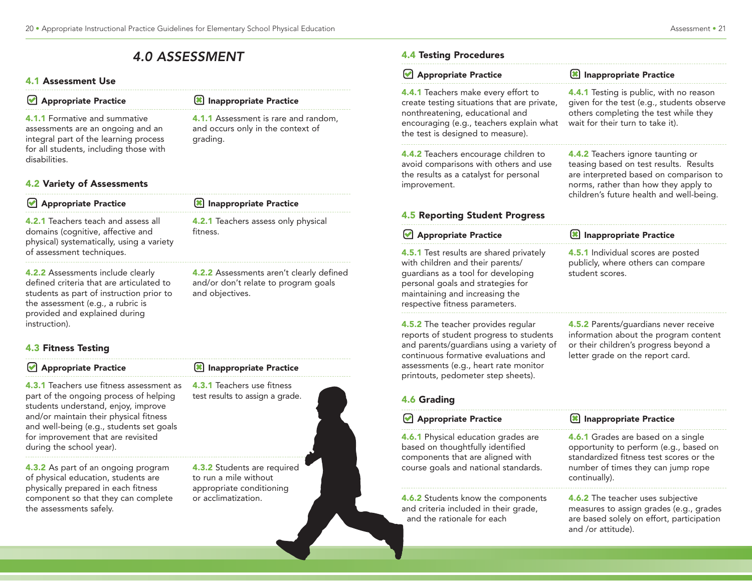# 4.0 ASSESSMENT

grading.

#### 4.1 Assessment Use

|  | Appropriate Practice |  |
|--|----------------------|--|
|--|----------------------|--|

4.1.1 Formative and summative assessments are an ongoing and an integral part of the learning process for all students, including those with disabilities.

### 4.2 Variety of Assessments

| Appropriate Practice                                                                                                                                                                                             | Inappropriate Practice                                                                                     |
|------------------------------------------------------------------------------------------------------------------------------------------------------------------------------------------------------------------|------------------------------------------------------------------------------------------------------------|
| <b>4.2.1</b> Teachers teach and assess all<br>domains (cognitive, affective and<br>physical) systematically, using a variety<br>of assessment techniques.                                                        | 4.2.1 Teachers assess only physical<br>fitness.                                                            |
| 4.2.2 Assessments include clearly<br>defined criteria that are articulated to<br>students as part of instruction prior to<br>the assessment (e.g., a rubric is<br>provided and explained during<br>instruction). | <b>4.2.2</b> Assessments aren't clearly defined<br>and/or don't relate to program goals<br>and objectives. |

### 4.3 Fitness Testing

#### **Appropriate Practice**

4.3.1 Teachers use fitness assessment as part of the ongoing process of helping students understand, enjoy, improve and/or maintain their physical fitness and well-being (e.g., students set goals for improvement that are revisited during the school year).

4.3.2 As part of an ongoing program of physical education, students are physically prepared in each fitness component so that they can complete the assessments safely.



Inappropriate Practice

4.1.1 Assessment is rare and random, and occurs only in the context of

### 4.4 Testing Procedures

| Appropriate Practice                                                                                                                                                                                                                             | Inappropriate Practice                                                                                                                                                                                    |
|--------------------------------------------------------------------------------------------------------------------------------------------------------------------------------------------------------------------------------------------------|-----------------------------------------------------------------------------------------------------------------------------------------------------------------------------------------------------------|
| 4.4.1 Teachers make every effort to<br>create testing situations that are private,<br>nonthreatening, educational and<br>encouraging (e.g., teachers explain what<br>the test is designed to measure).                                           | 4.4.1 Testing is public, with no reason<br>given for the test (e.g., students observe<br>others completing the test while they<br>wait for their turn to take it).                                        |
| 4.4.2 Teachers encourage children to<br>avoid comparisons with others and use<br>the results as a catalyst for personal<br>improvement.                                                                                                          | 4.4.2 Teachers ignore taunting or<br>teasing based on test results. Results<br>are interpreted based on comparison to<br>norms, rather than how they apply to<br>children's future health and well-being. |
| <b>4.5 Reporting Student Progress</b>                                                                                                                                                                                                            |                                                                                                                                                                                                           |
| Appropriate Practice                                                                                                                                                                                                                             | <b>8</b> Inappropriate Practice                                                                                                                                                                           |
| 4.5.1 Test results are shared privately<br>with children and their parents/<br>guardians as a tool for developing<br>personal goals and strategies for<br>maintaining and increasing the<br>respective fitness parameters.                       | 4.5.1 Individual scores are posted<br>publicly, where others can compare<br>student scores.                                                                                                               |
| 4.5.2 The teacher provides regular<br>reports of student progress to students<br>and parents/guardians using a variety of<br>continuous formative evaluations and<br>assessments (e.g., heart rate monitor<br>printouts, pedometer step sheets). | 4.5.2 Parents/guardians never receive<br>information about the program content<br>or their children's progress beyond a<br>letter grade on the report card.                                               |
| <b>4.6 Grading</b>                                                                                                                                                                                                                               |                                                                                                                                                                                                           |
| Appropriate Practice                                                                                                                                                                                                                             | Inappropriate Practice                                                                                                                                                                                    |
| 4.6.1 Physical education grades are<br>based on thoughtfully identified<br>components that are aligned with<br>course goals and national standards.                                                                                              | 4.6.1 Grades are based on a single<br>opportunity to perform (e.g., based on<br>standardized fitness test scores or the<br>number of times they can jump rope<br>continually).                            |
| 4.6.2 Students know the components<br>and criteria included in their grade,<br>and the rationale for each                                                                                                                                        | 4.6.2 The teacher uses subjective<br>measures to assign grades (e.g., grades<br>are based solely on effort, participation<br>and /or attitude).                                                           |
|                                                                                                                                                                                                                                                  |                                                                                                                                                                                                           |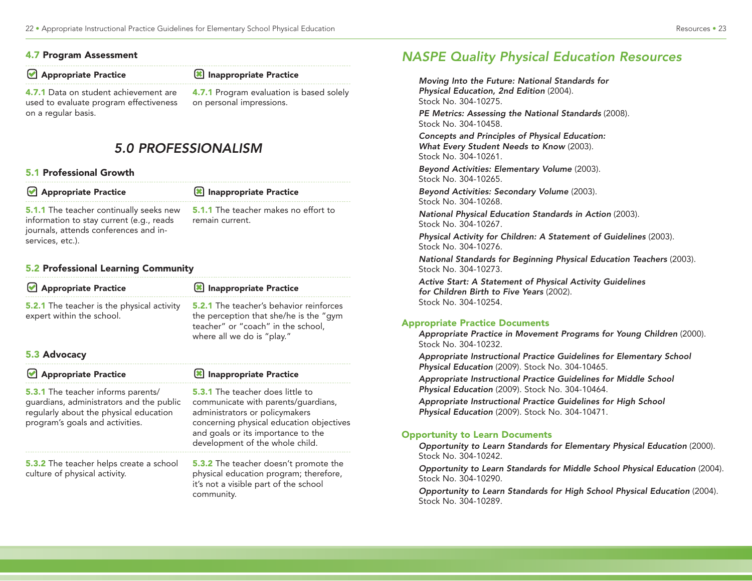#### 4.7 Program Assessment

#### **Appropriate Practice**

Inappropriate Practice

4.7.1 Data on student achievement are used to evaluate program effectiveness on a regular basis.

4.7.1 Program evaluation is based solely on personal impressions.

# 5.0 PROFESSIONALISM

#### 5.1 Professional Growth

| Appropriate Practice                                                                                                                                    | Inappropriate Practice                                         |
|---------------------------------------------------------------------------------------------------------------------------------------------------------|----------------------------------------------------------------|
| <b>5.1.1</b> The teacher continually seeks new<br>information to stay current (e.g., reads<br>journals, attends conferences and in-<br>services, etc.). | <b>5.1.1</b> The teacher makes no effort to<br>remain current. |

#### 5.2 Professional Learning Community

| <b>Appropriate Practice</b>                                                                                                                                        | <b>8</b> Inappropriate Practice                                                                                                                                                                                                |
|--------------------------------------------------------------------------------------------------------------------------------------------------------------------|--------------------------------------------------------------------------------------------------------------------------------------------------------------------------------------------------------------------------------|
| <b>5.2.1</b> The teacher is the physical activity<br>expert within the school.                                                                                     | <b>5.2.1</b> The teacher's behavior reinforces<br>the perception that she/he is the "gym<br>teacher" or "coach" in the school,<br>where all we do is "play."                                                                   |
| 5.3 Advocacy                                                                                                                                                       |                                                                                                                                                                                                                                |
| Appropriate Practice                                                                                                                                               | Inappropriate Practice                                                                                                                                                                                                         |
| <b>5.3.1</b> The teacher informs parents/<br>guardians, administrators and the public<br>regularly about the physical education<br>program's goals and activities. | 5.3.1 The teacher does little to<br>communicate with parents/quardians,<br>administrators or policymakers<br>concerning physical education objectives<br>and goals or its importance to the<br>development of the whole child. |
| <b>5.3.2</b> The teacher helps create a school<br>culture of physical activity.                                                                                    | <b>5.3.2</b> The teacher doesn't promote the<br>physical education program; therefore,<br>it's not a visible part of the school<br>community.                                                                                  |

# NASPE Quality Physical Education Resources

Moving Into the Future: National Standards for Physical Education, 2nd Edition (2004). Stock No. 304-10275.

PE Metrics: Assessing the National Standards (2008). Stock No. 304-10458.

Concepts and Principles of Physical Education: What Every Student Needs to Know (2003). Stock No. 304-10261.

Beyond Activities: Elementary Volume (2003). Stock No. 304-10265.

Beyond Activities: Secondary Volume (2003). Stock No. 304-10268.

National Physical Education Standards in Action (2003). Stock No. 304-10267.

Physical Activity for Children: A Statement of Guidelines (2003). Stock No. 304-10276.

National Standards for Beginning Physical Education Teachers (2003). Stock No. 304-10273.

Active Start: A Statement of Physical Activity Guidelines for Children Birth to Five Years (2002). Stock No. 304-10254.

### Appropriate Practice Documents

Appropriate Practice in Movement Programs for Young Children (2000). Stock No. 304-10232.

Appropriate Instructional Practice Guidelines for Elementary School Physical Education (2009). Stock No. 304-10465.

Appropriate Instructional Practice Guidelines for Middle School Physical Education (2009). Stock No. 304-10464.

Appropriate Instructional Practice Guidelines for High School Physical Education (2009). Stock No. 304-10471.

### Opportunity to Learn Documents

Opportunity to Learn Standards for Elementary Physical Education (2000). Stock No. 304-10242.

Opportunity to Learn Standards for Middle School Physical Education (2004). Stock No. 304-10290.

Opportunity to Learn Standards for High School Physical Education (2004). Stock No. 304-10289.